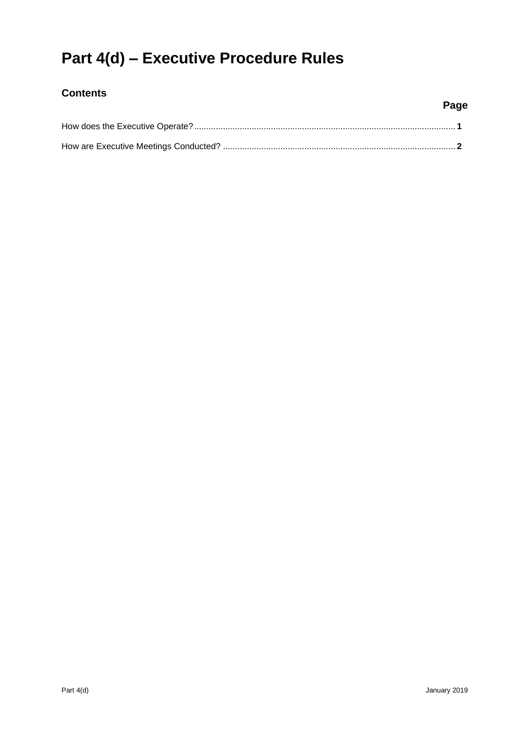# **Part 4(d) – Executive Procedure Rules**

## **Contents**

## **Page**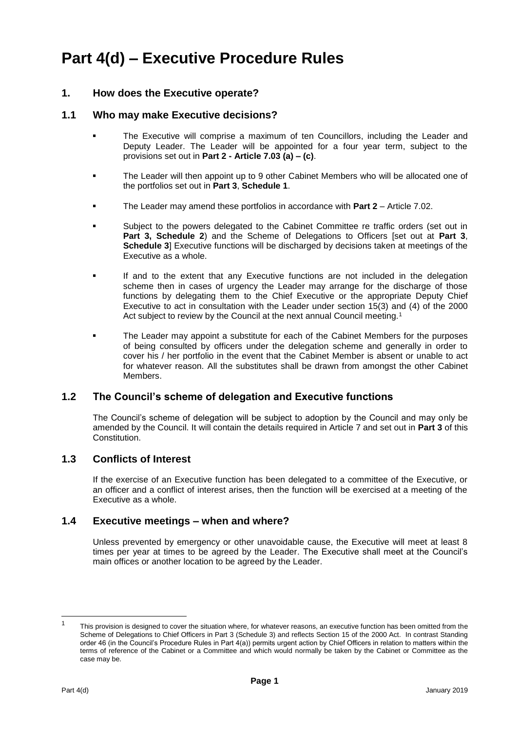## **Part 4(d) – Executive Procedure Rules**

## **1. How does the Executive operate?**

#### **1.1 Who may make Executive decisions?**

- The Executive will comprise a maximum of ten Councillors, including the Leader and Deputy Leader. The Leader will be appointed for a four year term, subject to the provisions set out in **Part 2 - Article 7.03 (a) – (c)**.
- The Leader will then appoint up to 9 other Cabinet Members who will be allocated one of the portfolios set out in **Part 3**, **Schedule 1**.
- The Leader may amend these portfolios in accordance with **Part 2** Article 7.02.
- Subject to the powers delegated to the Cabinet Committee re traffic orders (set out in **Part 3, Schedule 2**) and the Scheme of Delegations to Officers [set out at **Part 3**, **Schedule 3**] Executive functions will be discharged by decisions taken at meetings of the Executive as a whole.
- If and to the extent that any Executive functions are not included in the delegation scheme then in cases of urgency the Leader may arrange for the discharge of those functions by delegating them to the Chief Executive or the appropriate Deputy Chief Executive to act in consultation with the Leader under section 15(3) and (4) of the 2000 Act subject to review by the Council at the next annual Council meeting.<sup>1</sup>
- The Leader may appoint a substitute for each of the Cabinet Members for the purposes of being consulted by officers under the delegation scheme and generally in order to cover his / her portfolio in the event that the Cabinet Member is absent or unable to act for whatever reason. All the substitutes shall be drawn from amongst the other Cabinet Members.

## **1.2 The Council's scheme of delegation and Executive functions**

The Council's scheme of delegation will be subject to adoption by the Council and may only be amended by the Council. It will contain the details required in Article 7 and set out in **Part 3** of this Constitution.

## **1.3 Conflicts of Interest**

If the exercise of an Executive function has been delegated to a committee of the Executive, or an officer and a conflict of interest arises, then the function will be exercised at a meeting of the Executive as a whole.

## **1.4 Executive meetings – when and where?**

Unless prevented by emergency or other unavoidable cause, the Executive will meet at least 8 times per year at times to be agreed by the Leader. The Executive shall meet at the Council's main offices or another location to be agreed by the Leader.

l

<sup>1</sup> This provision is designed to cover the situation where, for whatever reasons, an executive function has been omitted from the Scheme of Delegations to Chief Officers in Part 3 (Schedule 3) and reflects Section 15 of the 2000 Act. In contrast Standing order 46 (in the Council's Procedure Rules in Part 4(a)) permits urgent action by Chief Officers in relation to matters within the terms of reference of the Cabinet or a Committee and which would normally be taken by the Cabinet or Committee as the case may be.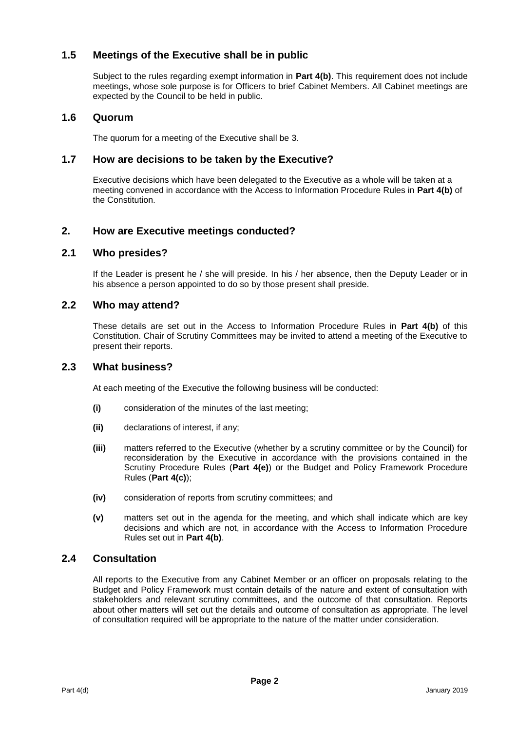## **1.5 Meetings of the Executive shall be in public**

Subject to the rules regarding exempt information in **Part 4(b)**. This requirement does not include meetings, whose sole purpose is for Officers to brief Cabinet Members. All Cabinet meetings are expected by the Council to be held in public.

## **1.6 Quorum**

The quorum for a meeting of the Executive shall be 3.

## **1.7 How are decisions to be taken by the Executive?**

Executive decisions which have been delegated to the Executive as a whole will be taken at a meeting convened in accordance with the Access to Information Procedure Rules in **Part 4(b)** of the Constitution.

## **2. How are Executive meetings conducted?**

## **2.1 Who presides?**

If the Leader is present he / she will preside. In his / her absence, then the Deputy Leader or in his absence a person appointed to do so by those present shall preside.

## **2.2 Who may attend?**

These details are set out in the Access to Information Procedure Rules in **Part 4(b)** of this Constitution. Chair of Scrutiny Committees may be invited to attend a meeting of the Executive to present their reports.

#### **2.3 What business?**

At each meeting of the Executive the following business will be conducted:

- **(i)** consideration of the minutes of the last meeting;
- **(ii)** declarations of interest, if any;
- **(iii)** matters referred to the Executive (whether by a scrutiny committee or by the Council) for reconsideration by the Executive in accordance with the provisions contained in the Scrutiny Procedure Rules (**Part 4(e)**) or the Budget and Policy Framework Procedure Rules (**Part 4(c)**);
- **(iv)** consideration of reports from scrutiny committees; and
- **(v)** matters set out in the agenda for the meeting, and which shall indicate which are key decisions and which are not, in accordance with the Access to Information Procedure Rules set out in **Part 4(b)**.

## **2.4 Consultation**

All reports to the Executive from any Cabinet Member or an officer on proposals relating to the Budget and Policy Framework must contain details of the nature and extent of consultation with stakeholders and relevant scrutiny committees, and the outcome of that consultation. Reports about other matters will set out the details and outcome of consultation as appropriate. The level of consultation required will be appropriate to the nature of the matter under consideration.